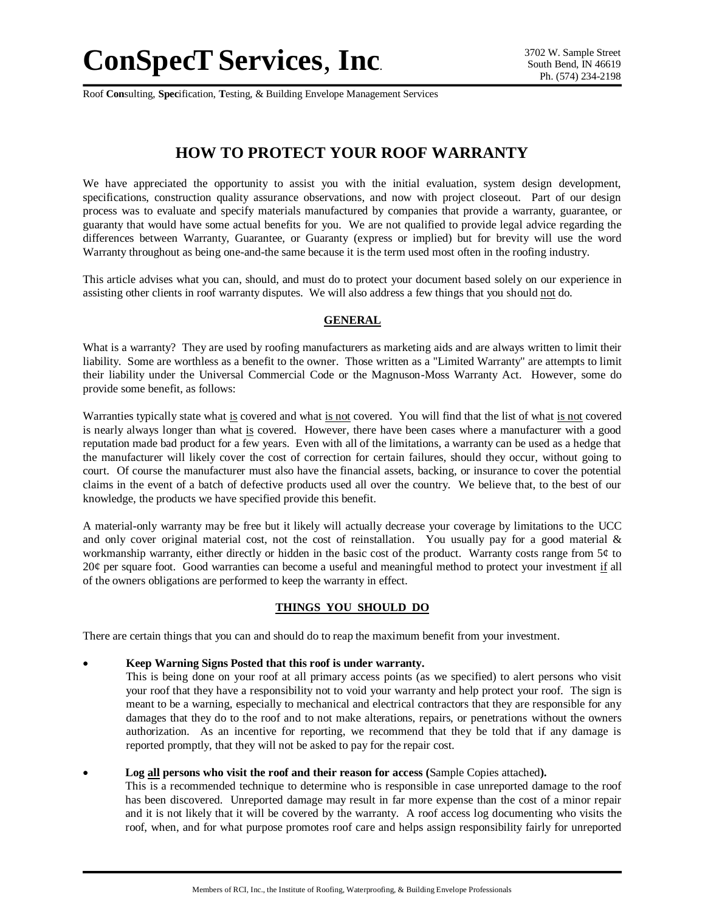Roof **Con**sulting, **Spec**ification, **T**esting, & Building Envelope Management Services

# **HOW TO PROTECT YOUR ROOF WARRANTY**

We have appreciated the opportunity to assist you with the initial evaluation, system design development, specifications, construction quality assurance observations, and now with project closeout. Part of our design process was to evaluate and specify materials manufactured by companies that provide a warranty, guarantee, or guaranty that would have some actual benefits for you. We are not qualified to provide legal advice regarding the differences between Warranty, Guarantee, or Guaranty (express or implied) but for brevity will use the word Warranty throughout as being one-and-the same because it is the term used most often in the roofing industry.

This article advises what you can, should, and must do to protect your document based solely on our experience in assisting other clients in roof warranty disputes. We will also address a few things that you should not do.

## **GENERAL**

What is a warranty? They are used by roofing manufacturers as marketing aids and are always written to limit their liability. Some are worthless as a benefit to the owner. Those written as a "Limited Warranty" are attempts to limit their liability under the Universal Commercial Code or the Magnuson-Moss Warranty Act. However, some do provide some benefit, as follows:

Warranties typically state what is covered and what is not covered. You will find that the list of what is not covered is nearly always longer than what is covered. However, there have been cases where a manufacturer with a good reputation made bad product for a few years. Even with all of the limitations, a warranty can be used as a hedge that the manufacturer will likely cover the cost of correction for certain failures, should they occur, without going to court. Of course the manufacturer must also have the financial assets, backing, or insurance to cover the potential claims in the event of a batch of defective products used all over the country. We believe that, to the best of our knowledge, the products we have specified provide this benefit.

A material-only warranty may be free but it likely will actually decrease your coverage by limitations to the UCC and only cover original material cost, not the cost of reinstallation. You usually pay for a good material  $\&$ workmanship warranty, either directly or hidden in the basic cost of the product. Warranty costs range from  $5¢$  to 20¢ per square foot. Good warranties can become a useful and meaningful method to protect your investment if all of the owners obligations are performed to keep the warranty in effect.

## **THINGS YOU SHOULD DO**

There are certain things that you can and should do to reap the maximum benefit from your investment.

- **Keep Warning Signs Posted that this roof is under warranty.**
	- This is being done on your roof at all primary access points (as we specified) to alert persons who visit your roof that they have a responsibility not to void your warranty and help protect your roof. The sign is meant to be a warning, especially to mechanical and electrical contractors that they are responsible for any damages that they do to the roof and to not make alterations, repairs, or penetrations without the owners authorization. As an incentive for reporting, we recommend that they be told that if any damage is reported promptly, that they will not be asked to pay for the repair cost.
- **Log all persons who visit the roof and their reason for access (**Sample Copies attached**).**

This is a recommended technique to determine who is responsible in case unreported damage to the roof has been discovered. Unreported damage may result in far more expense than the cost of a minor repair and it is not likely that it will be covered by the warranty. A roof access log documenting who visits the roof, when, and for what purpose promotes roof care and helps assign responsibility fairly for unreported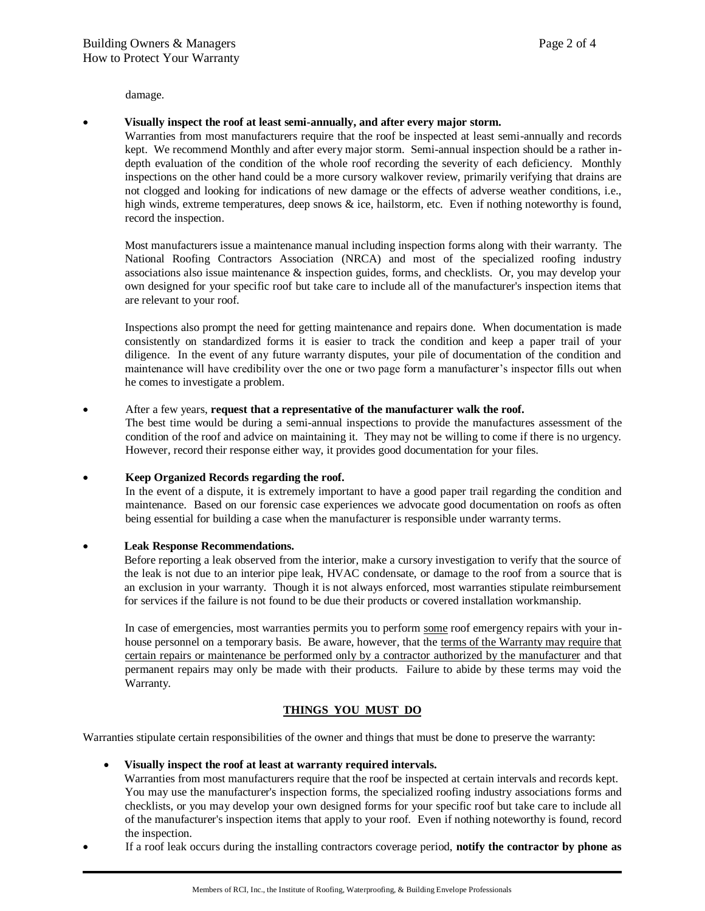damage.

#### **Visually inspect the roof at least semi-annually, and after every major storm.**

Warranties from most manufacturers require that the roof be inspected at least semi-annually and records kept. We recommend Monthly and after every major storm. Semi-annual inspection should be a rather indepth evaluation of the condition of the whole roof recording the severity of each deficiency. Monthly inspections on the other hand could be a more cursory walkover review, primarily verifying that drains are not clogged and looking for indications of new damage or the effects of adverse weather conditions, i.e., high winds, extreme temperatures, deep snows & ice, hailstorm, etc. Even if nothing noteworthy is found, record the inspection.

Most manufacturers issue a maintenance manual including inspection forms along with their warranty. The National Roofing Contractors Association (NRCA) and most of the specialized roofing industry associations also issue maintenance & inspection guides, forms, and checklists. Or, you may develop your own designed for your specific roof but take care to include all of the manufacturer's inspection items that are relevant to your roof.

Inspections also prompt the need for getting maintenance and repairs done. When documentation is made consistently on standardized forms it is easier to track the condition and keep a paper trail of your diligence. In the event of any future warranty disputes, your pile of documentation of the condition and maintenance will have credibility over the one or two page form a manufacturer's inspector fills out when he comes to investigate a problem.

#### After a few years, **request that a representative of the manufacturer walk the roof.**

The best time would be during a semi-annual inspections to provide the manufactures assessment of the condition of the roof and advice on maintaining it. They may not be willing to come if there is no urgency. However, record their response either way, it provides good documentation for your files.

#### **Keep Organized Records regarding the roof.**

In the event of a dispute, it is extremely important to have a good paper trail regarding the condition and maintenance. Based on our forensic case experiences we advocate good documentation on roofs as often being essential for building a case when the manufacturer is responsible under warranty terms.

#### **Leak Response Recommendations.**

Before reporting a leak observed from the interior, make a cursory investigation to verify that the source of the leak is not due to an interior pipe leak, HVAC condensate, or damage to the roof from a source that is an exclusion in your warranty. Though it is not always enforced, most warranties stipulate reimbursement for services if the failure is not found to be due their products or covered installation workmanship.

In case of emergencies, most warranties permits you to perform some roof emergency repairs with your inhouse personnel on a temporary basis. Be aware, however, that the terms of the Warranty may require that certain repairs or maintenance be performed only by a contractor authorized by the manufacturer and that permanent repairs may only be made with their products. Failure to abide by these terms may void the Warranty.

#### **THINGS YOU MUST DO**

Warranties stipulate certain responsibilities of the owner and things that must be done to preserve the warranty:

#### **Visually inspect the roof at least at warranty required intervals.**

Warranties from most manufacturers require that the roof be inspected at certain intervals and records kept. You may use the manufacturer's inspection forms, the specialized roofing industry associations forms and checklists, or you may develop your own designed forms for your specific roof but take care to include all of the manufacturer's inspection items that apply to your roof. Even if nothing noteworthy is found, record the inspection.

If a roof leak occurs during the installing contractors coverage period, **notify the contractor by phone as**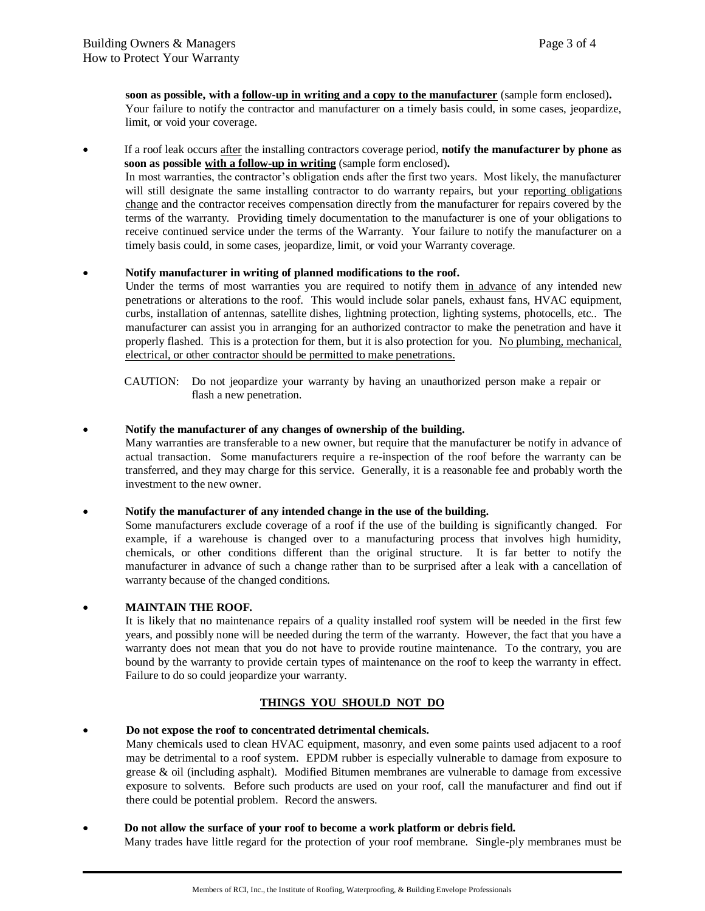**soon as possible, with a follow-up in writing and a copy to the manufacturer** (sample form enclosed)**.** Your failure to notify the contractor and manufacturer on a timely basis could, in some cases, jeopardize, limit, or void your coverage.

 If a roof leak occurs after the installing contractors coverage period, **notify the manufacturer by phone as soon as possible with a follow-up in writing** (sample form enclosed)**.**

In most warranties, the contractor's obligation ends after the first two years. Most likely, the manufacturer will still designate the same installing contractor to do warranty repairs, but your reporting obligations change and the contractor receives compensation directly from the manufacturer for repairs covered by the terms of the warranty. Providing timely documentation to the manufacturer is one of your obligations to receive continued service under the terms of the Warranty. Your failure to notify the manufacturer on a timely basis could, in some cases, jeopardize, limit, or void your Warranty coverage.

## **Notify manufacturer in writing of planned modifications to the roof.**

Under the terms of most warranties you are required to notify them in advance of any intended new penetrations or alterations to the roof. This would include solar panels, exhaust fans, HVAC equipment, curbs, installation of antennas, satellite dishes, lightning protection, lighting systems, photocells, etc.. The manufacturer can assist you in arranging for an authorized contractor to make the penetration and have it properly flashed. This is a protection for them, but it is also protection for you. No plumbing, mechanical, electrical, or other contractor should be permitted to make penetrations.

CAUTION: Do not jeopardize your warranty by having an unauthorized person make a repair or flash a new penetration.

## **Notify the manufacturer of any changes of ownership of the building.**

Many warranties are transferable to a new owner, but require that the manufacturer be notify in advance of actual transaction. Some manufacturers require a re-inspection of the roof before the warranty can be transferred, and they may charge for this service. Generally, it is a reasonable fee and probably worth the investment to the new owner.

**Notify the manufacturer of any intended change in the use of the building.**

Some manufacturers exclude coverage of a roof if the use of the building is significantly changed. For example, if a warehouse is changed over to a manufacturing process that involves high humidity, chemicals, or other conditions different than the original structure. It is far better to notify the manufacturer in advance of such a change rather than to be surprised after a leak with a cancellation of warranty because of the changed conditions.

## **MAINTAIN THE ROOF.**

It is likely that no maintenance repairs of a quality installed roof system will be needed in the first few years, and possibly none will be needed during the term of the warranty. However, the fact that you have a warranty does not mean that you do not have to provide routine maintenance. To the contrary, you are bound by the warranty to provide certain types of maintenance on the roof to keep the warranty in effect. Failure to do so could jeopardize your warranty.

## **THINGS YOU SHOULD NOT DO**

#### **Do not expose the roof to concentrated detrimental chemicals.**

Many chemicals used to clean HVAC equipment, masonry, and even some paints used adjacent to a roof may be detrimental to a roof system. EPDM rubber is especially vulnerable to damage from exposure to grease & oil (including asphalt). Modified Bitumen membranes are vulnerable to damage from excessive exposure to solvents. Before such products are used on your roof, call the manufacturer and find out if there could be potential problem. Record the answers.

**Do not allow the surface of your roof to become a work platform or debris field.**

Many trades have little regard for the protection of your roof membrane. Single-ply membranes must be